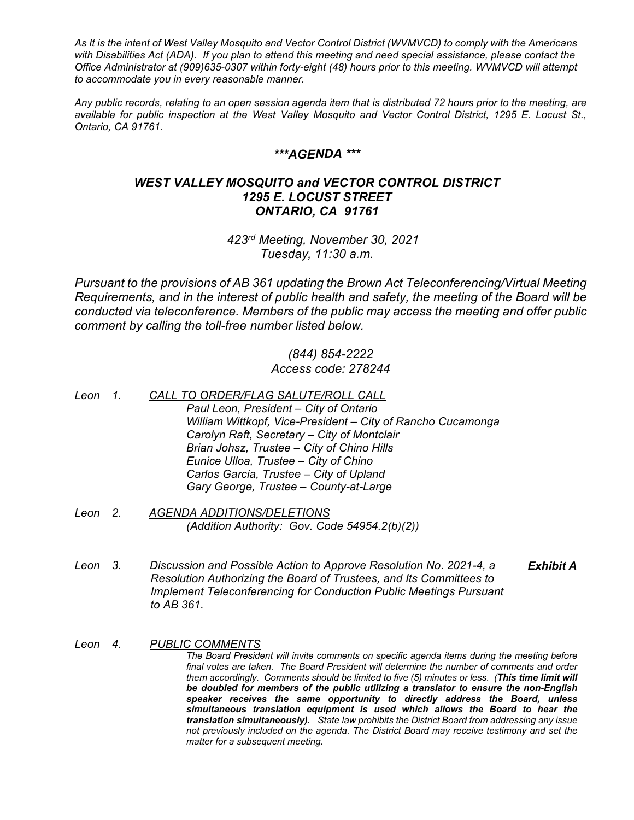*As It is the intent of West Valley Mosquito and Vector Control District (WVMVCD) to comply with the Americans with Disabilities Act (ADA). If you plan to attend this meeting and need special assistance, please contact the Office Administrator at (909)635-0307 within forty-eight (48) hours prior to this meeting. WVMVCD will attempt to accommodate you in every reasonable manner.*

*Any public records, relating to an open session agenda item that is distributed 72 hours prior to the meeting, are available for public inspection at the West Valley Mosquito and Vector Control District, 1295 E. Locust St., Ontario, CA 91761.*

## *\*\*\*AGENDA \*\*\**

## *WEST VALLEY MOSQUITO and VECTOR CONTROL DISTRICT 1295 E. LOCUST STREET ONTARIO, CA 91761*

*423rd Meeting, November 30, 2021 Tuesday, 11:30 a.m.*

*Pursuant to the provisions of AB 361 updating the Brown Act Teleconferencing/Virtual Meeting Requirements, and in the interest of public health and safety, the meeting of the Board will be conducted via teleconference. Members of the public may access the meeting and offer public comment by calling the toll-free number listed below.*

## *(844) 854-2222 Access code: 278244*

- *Leon 1. CALL TO ORDER/FLAG SALUTE/ROLL CALL Paul Leon, President – City of Ontario William Wittkopf, Vice-President – City of Rancho Cucamonga Carolyn Raft, Secretary – City of Montclair Brian Johsz, Trustee – City of Chino Hills Eunice Ulloa, Trustee – City of Chino Carlos Garcia, Trustee – City of Upland Gary George, Trustee – County-at-Large*
- *Leon 2. AGENDA ADDITIONS/DELETIONS (Addition Authority: Gov. Code 54954.2(b)(2))*
- *Leon 3. Discussion and Possible Action to Approve Resolution No. 2021-4, a Resolution Authorizing the Board of Trustees, and Its Committees to Implement Teleconferencing for Conduction Public Meetings Pursuant to AB 361. Exhibit A*
- *Leon 4. PUBLIC COMMENTS The Board President will invite comments on specific agenda items during the meeting before final votes are taken. The Board President will determine the number of comments and order them accordingly. Comments should be limited to five (5) minutes or less. (This time limit will be doubled for members of the public utilizing a translator to ensure the non-English speaker receives the same opportunity to directly address the Board, unless simultaneous translation equipment is used which allows the Board to hear the translation simultaneously). State law prohibits the District Board from addressing any issue not previously included on the agenda. The District Board may receive testimony and set the matter for a subsequent meeting.*